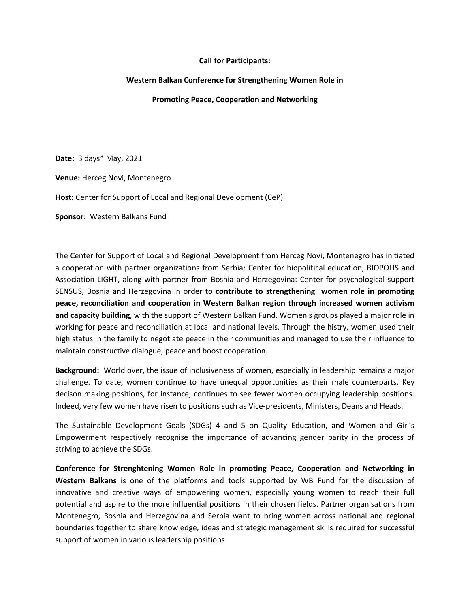#### **Call for Participants:**

#### **Western Balkan Conference for Strengthening Women Role in**

#### **Promoting Peace, Cooperation and Networking**

**Date:** 3 days\* May, 2021

**Venue:** Herceg Novi, Montenegro

**Host:** Center for Support of Local and Regional Development (CeP)

**Sponsor:** Western Balkans Fund

The Center for Support of Local and Regional Development from Herceg Novi, Montenegro has initiated a cooperation with partner organizations from Serbia: Center for biopolitical education, BIOPOLIS and Association LIGHT, along with partner from Bosnia and Herzegovina: Center for psychological support SENSUS, Bosnia and Herzegovina in order to **contribute to strengthening women role in promoting peace, reconciliation and cooperation in Western Balkan region through increased women activism and capacity building**, with the support of Western Balkan Fund. Women's groups played a major role in working for peace and reconciliation at local and national levels. Through the histry, women used their high status in the family to negotiate peace in their communities and managed to use their influence to maintain constructive dialogue, peace and boost cooperation.

**Background:** World over, the issue of inclusiveness of women, especially in leadership remains a major challenge. To date, women continue to have unequal opportunities as their male counterparts. Key decison making positions, for instance, continues to see fewer women occupying leadership positions. Indeed, very few women have risen to positions such as Vice-presidents, Ministers, Deans and Heads.

The Sustainable Development Goals (SDGs) 4 and 5 on Quality Education, and Women and Girl's Empowerment respectively recognise the importance of advancing gender parity in the process of striving to achieve the SDGs.

**Conference for Strenghtening Women Role in promoting Peace, Cooperation and Networking in Western Balkans** is one of the platforms and tools supported by WB Fund for the discussion of innovative and creative ways of empowering women, especially young women to reach their full potential and aspire to the more influential positions in their chosen fields. Partner organisations from Montenegro, Bosnia and Herzegovina and Serbia want to bring women across national and regional boundaries together to share knowledge, ideas and strategic management skills required for successful support of women in various leadership positions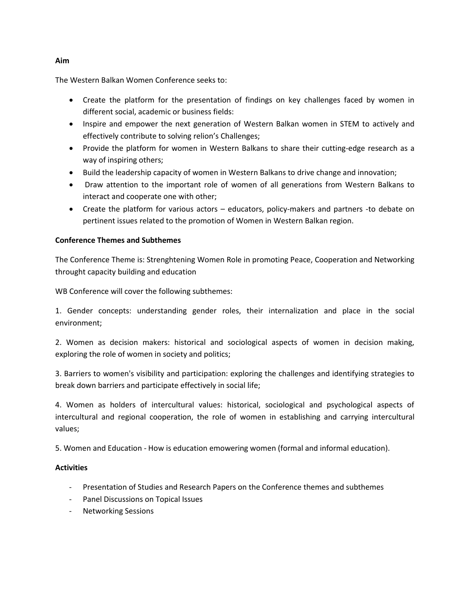# The Western Balkan Women Conference seeks to:

- Create the platform for the presentation of findings on key challenges faced by women in different social, academic or business fields:
- Inspire and empower the next generation of Western Balkan women in STEM to actively and effectively contribute to solving relion's Challenges;
- Provide the platform for women in Western Balkans to share their cutting-edge research as a way of inspiring others;
- Build the leadership capacity of women in Western Balkans to drive change and innovation;
- Draw attention to the important role of women of all generations from Western Balkans to interact and cooperate one with other;
- Create the platform for various actors educators, policy-makers and partners -to debate on pertinent issues related to the promotion of Women in Western Balkan region.

## **Conference Themes and Subthemes**

The Conference Theme is: Strenghtening Women Role in promoting Peace, Cooperation and Networking throught capacity building and education

WB Conference will cover the following subthemes:

1. Gender concepts: understanding gender roles, their internalization and place in the social environment;

2. Women as decision makers: historical and sociological aspects of women in decision making, exploring the role of women in society and politics;

3. Barriers to women's visibility and participation: exploring the challenges and identifying strategies to break down barriers and participate effectively in social life;

4. Women as holders of intercultural values: historical, sociological and psychological aspects of intercultural and regional cooperation, the role of women in establishing and carrying intercultural values;

5. Women and Education - How is education emowering women (formal and informal education).

## **Activities**

- Presentation of Studies and Research Papers on the Conference themes and subthemes
- Panel Discussions on Topical Issues
- Networking Sessions

#### **Aim**